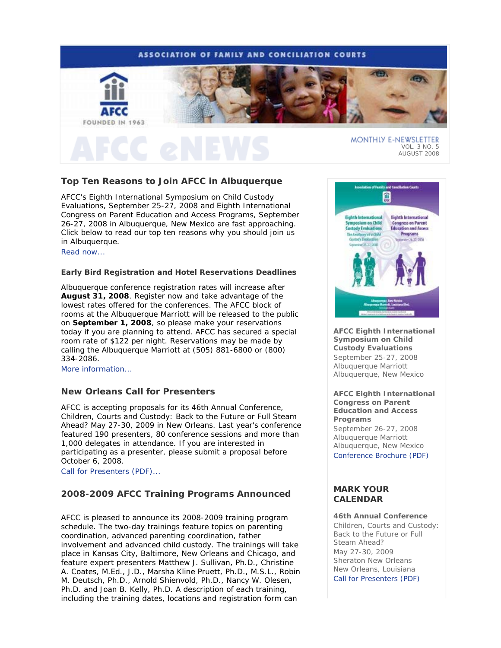### **ASSOCIATION OF FAMILY AND CONCILIATION COURTS**



# **Top Ten Reasons to Join AFCC in Albuquerque**

AFCC's *Eighth International Symposium on Child Custody Evaluations*, September 25-27, 2008 and *Eighth International Congress on Parent Education and Access Programs*, September 26-27, 2008 in Albuquerque, New Mexico are fast approaching. Click below to read our top ten reasons why you should join us in Albuquerque.

Read now...

### **Early Bird Registration and Hotel Reservations Deadlines**

Albuquerque conference registration rates will increase after **August 31, 2008**. Register now and take advantage of the lowest rates offered for the conferences. The AFCC block of rooms at the Albuquerque Marriott will be released to the public on **September 1, 2008**, so please make your reservations today if you are planning to attend. AFCC has secured a special room rate of \$122 per night. Reservations may be made by calling the Albuquerque Marriott at (505) 881-6800 or (800) 334-2086.

More information...

### **New Orleans Call for Presenters**

AFCC is accepting proposals for its 46th Annual Conference, *Children, Courts and Custody: Back to the Future or Full Steam Ahead?* May 27-30, 2009 in New Orleans. Last year's conference featured 190 presenters, 80 conference sessions and more than 1,000 delegates in attendance. If you are interested in participating as a presenter, please submit a proposal before October 6, 2008.

Call for Presenters (PDF)...

### **2008-2009 AFCC Training Programs Announced**

AFCC is pleased to announce its 2008-2009 training program schedule. The two-day trainings feature topics on parenting coordination, advanced parenting coordination, father involvement and advanced child custody. The trainings will take place in Kansas City, Baltimore, New Orleans and Chicago, and feature expert presenters Matthew J. Sullivan, Ph.D., Christine A. Coates, M.Ed., J.D., Marsha Kline Pruett, Ph.D., M.S.L., Robin M. Deutsch, Ph.D., Arnold Shienvold, Ph.D., Nancy W. Olesen, Ph.D. and Joan B. Kelly, Ph.D. A description of each training, including the training dates, locations and registration form can



**AFCC Eighth International Symposium on Child Custody Evaluations**  September 25-27, 2008 Albuquerque Marriott Albuquerque, New Mexico

**AFCC Eighth International Congress on Parent Education and Access Programs**  September 26-27, 2008 Albuquerque Marriott Albuquerque, New Mexico Conference Brochure (PDF)

### **MARK YOUR CALENDAR**

#### **46th Annual Conference**

*Children, Courts and Custody: Back to the Future or Full Steam Ahead?*  May 27-30, 2009 Sheraton New Orleans New Orleans, Louisiana Call for Presenters (PDF)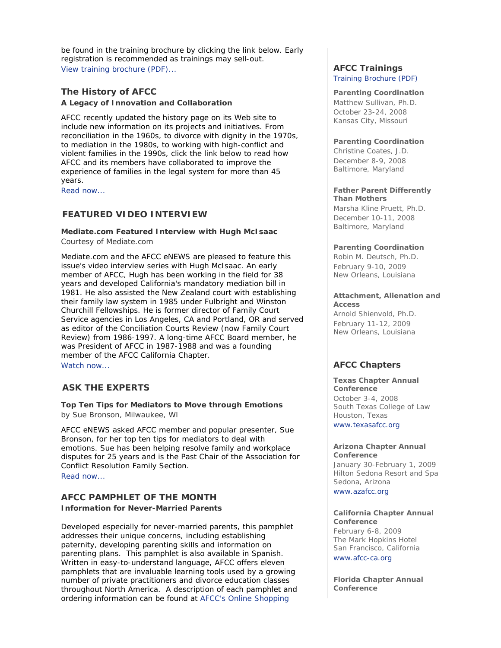be found in the training brochure by clicking the link below. Early registration is recommended as trainings may sell-out. View training brochure (PDF)...

### **The History of AFCC A Legacy of Innovation and Collaboration**

AFCC recently updated the history page on its Web site to include new information on its projects and initiatives. From reconciliation in the 1960s, to divorce with dignity in the 1970s, to mediation in the 1980s, to working with high-conflict and violent families in the 1990s, click the link below to read how AFCC and its members have collaborated to improve the experience of families in the legal system for more than 45 years.

Read now...

### **FEATURED VIDEO INTERVIEW**

**Mediate.com Featured Interview with Hugh McIsaac**  *Courtesy of Mediate.com* 

Mediate.com and the *AFCC eNEWS* are pleased to feature this issue's video interview series with Hugh McIsaac. An early member of AFCC, Hugh has been working in the field for 38 years and developed California's mandatory mediation bill in 1981. He also assisted the New Zealand court with establishing their family law system in 1985 under Fulbright and Winston Churchill Fellowships. He is former director of Family Court Service agencies in Los Angeles, CA and Portland, OR and served as editor of the *Conciliation Courts Review* (now *Family Court Review*) from 1986-1997. A long-time AFCC Board member, he was President of AFCC in 1987-1988 and was a founding member of the AFCC California Chapter. Watch now...

### **ASK THE EXPERTS**

**Top Ten Tips for Mediators to Move through Emotions**  *by Sue Bronson, Milwaukee, WI*

*AFCC eNEWS* asked AFCC member and popular presenter, Sue Bronson, for her top ten tips for mediators to deal with emotions. Sue has been helping resolve family and workplace disputes for 25 years and is the Past Chair of the Association for Conflict Resolution Family Section. Read now...

### **AFCC PAMPHLET OF THE MONTH Information for Never-Married Parents**

Developed especially for never-married parents, this pamphlet addresses their unique concerns, including establishing paternity, developing parenting skills and information on parenting plans. This pamphlet is also available in Spanish. Written in easy-to-understand language, AFCC offers eleven pamphlets that are invaluable learning tools used by a growing number of private practitioners and divorce education classes throughout North America. A description of each pamphlet and ordering information can be found at AFCC's Online Shopping

## **AFCC Trainings**

Training Brochure (PDF)

**Parenting Coordination** *Matthew Sullivan, Ph.D.* October 23-24, 2008 Kansas City, Missouri

#### **Parenting Coordination**

*Christine Coates, J.D.* December 8-9, 2008 Baltimore, Maryland

#### **Father Parent Differently Than Mothers**

*Marsha Kline Pruett, Ph.D.* December 10-11, 2008 Baltimore, Maryland

### **Parenting Coordination**

*Robin M. Deutsch, Ph.D.*  February 9-10, 2009 New Orleans, Louisiana

### **Attachment, Alienation and Access**

*Arnold Shienvold, Ph.D.* February 11-12, 2009 New Orleans, Louisiana

### **AFCC Chapters**

#### **Texas Chapter Annual Conference**

October 3-4, 2008 South Texas College of Law Houston, Texas

www.texasafcc.org

#### **Arizona Chapter Annual Conference**

January 30-February 1, 2009 Hilton Sedona Resort and Spa Sedona, Arizona

www.azafcc.org

#### **California Chapter Annual Conference**

February 6-8, 2009 The Mark Hopkins Hotel San Francisco, California www.afcc-ca.org

**Florida Chapter Annual Conference**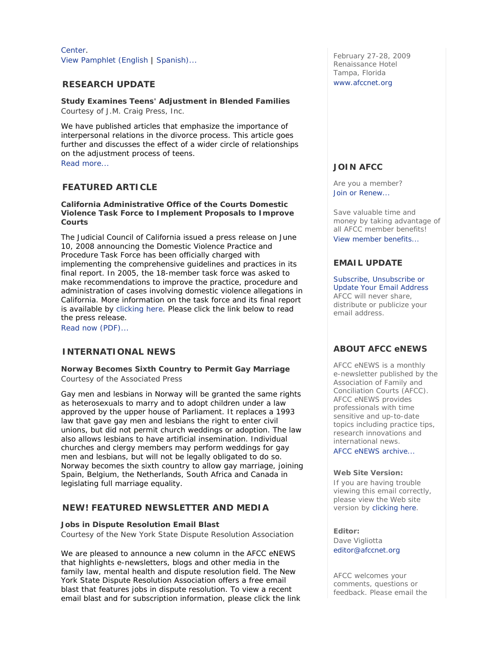Center. View Pamphlet (English | Spanish)...

### **RESEARCH UPDATE**

### **Study Examines Teens' Adjustment in Blended Families**

*Courtesy of J.M. Craig Press, Inc.*

We have published articles that emphasize the importance of interpersonal relations in the divorce process. This article goes further and discusses the effect of a wider circle of relationships on the adjustment process of teens. Read more...

### **FEATURED ARTICLE**

**California Administrative Office of the Courts Domestic Violence Task Force to Implement Proposals to Improve Courts** 

The Judicial Council of California issued a press release on June 10, 2008 announcing the Domestic Violence Practice and Procedure Task Force has been officially charged with implementing the comprehensive guidelines and practices in its final report. In 2005, the 18-member task force was asked to make recommendations to improve the practice, procedure and administration of cases involving domestic violence allegations in California. More information on the task force and its final report is available by clicking here. Please click the link below to read the press release.

Read now (PDF)...

### **INTERNATIONAL NEWS**

**Norway Becomes Sixth Country to Permit Gay Marriage**  *Courtesy of the Associated Press*

Gay men and lesbians in Norway will be granted the same rights as heterosexuals to marry and to adopt children under a law approved by the upper house of Parliament. It replaces a 1993 law that gave gay men and lesbians the right to enter civil unions, but did not permit church weddings or adoption. The law also allows lesbians to have artificial insemination. Individual churches and clergy members may perform weddings for gay men and lesbians, but will not be legally obligated to do so. Norway becomes the sixth country to allow gay marriage, joining Spain, Belgium, the Netherlands, South Africa and Canada in legislating full marriage equality.

### *NEW!* **FEATURED NEWSLETTER AND MEDIA**

### **Jobs in Dispute Resolution Email Blast**

*Courtesy of the New York State Dispute Resolution Association*

We are pleased to announce a new column in the *AFCC eNEWS* that highlights e-newsletters, blogs and other media in the family law, mental health and dispute resolution field. The New York State Dispute Resolution Association offers a free email blast that features jobs in dispute resolution. To view a recent email blast and for subscription information, please click the link

February 27-28, 2009 Renaissance Hotel Tampa, Florida www.afccnet.org

### **JOIN AFCC**

Are you a member? Join or Renew...

Save valuable time and money by taking advantage of all AFCC member benefits! View member benefits...

### **EMAIL UPDATE**

Subscribe, Unsubscribe or Update Your Email Address AFCC will never share, distribute or publicize your email address.

### **ABOUT AFCC eNEWS**

*AFCC eNEWS* is a monthly e-newsletter published by the Association of Family and Conciliation Courts (AFCC). *AFCC eNEWS* provides professionals with time sensitive and up-to-date topics including practice tips, research innovations and international news.

AFCC eNEWS archive...

#### **Web Site Version:**

If you are having trouble viewing this email correctly, please view the Web site version by clicking here.

**Editor:**  Dave Vigliotta editor@afccnet.org

AFCC welcomes your comments, questions or feedback. Please email the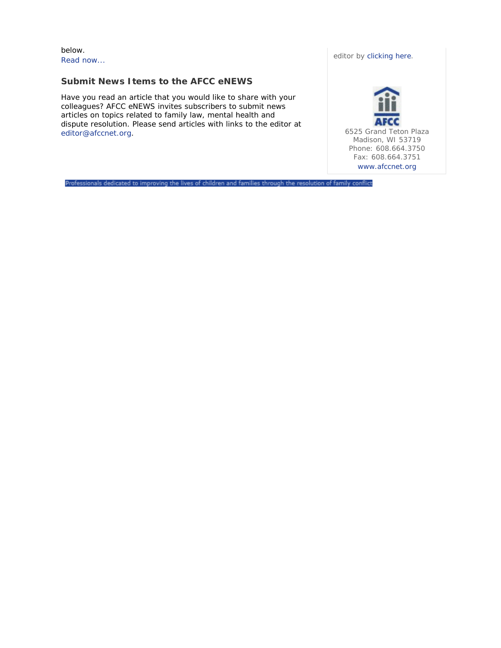below. Read now...

### **Submit News Items to the AFCC eNEWS**

Have you read an article that you would like to share with your colleagues? *AFCC eNEWS* invites subscribers to submit news articles on topics related to family law, mental health and dispute resolution. Please send articles with links to the editor at editor@afccnet.org.

editor by clicking here.



Professionals dedicated to improving the lives of children and families through the resolution of family conflict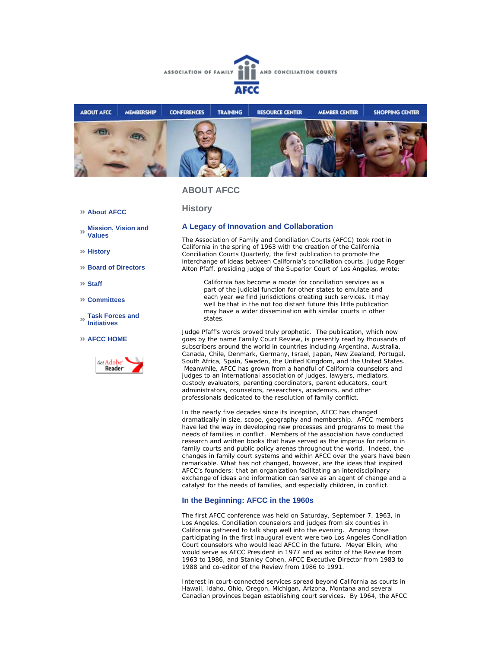



### **ABOUT AFCC**

**History**

#### **About AFCC**

- **Mission, Vision and**   $\gg$ **Values**
- **History**
- **Board of Directors**
- **Staff**
- **Committees**
- **Task Forces and Initiatives**
- **AFCC HOME**



#### **A Legacy of Innovation and Collaboration**

The Association of Family and Conciliation Courts (AFCC) took root in California in the spring of 1963 with the creation of the *California Conciliation Courts Quarterly*, the first publication to promote the interchange of ideas between California's conciliation courts. Judge Roger Alton Pfaff, presiding judge of the Superior Court of Los Angeles, wrote:

California has become a model for conciliation services as a part of the judicial function for other states to emulate and each year we find jurisdictions creating such services. It may well be that in the not too distant future this little publication may have a wider dissemination with similar courts in other states.

Judge Pfaff's words proved truly prophetic. The publication, which now goes by the name *Family Court Review*, is presently read by thousands of subscribers around the world in countries including Argentina, Australia, Canada, Chile, Denmark, Germany, Israel, Japan, New Zealand, Portugal, South Africa, Spain, Sweden, the United Kingdom, and the United States. Meanwhile, AFCC has grown from a handful of California counselors and judges to an international association of judges, lawyers, mediators, custody evaluators, parenting coordinators, parent educators, court administrators, counselors, researchers, academics, and other professionals dedicated to the resolution of family conflict.

In the nearly five decades since its inception, AFCC has changed dramatically in size, scope, geography and membership. AFCC members have led the way in developing new processes and programs to meet the needs of families in conflict. Members of the association have conducted research and written books that have served as the impetus for reform in family courts and public policy arenas throughout the world. Indeed, the changes in family court systems and within AFCC over the years have been remarkable. What has not changed, however, are the ideas that inspired AFCC's founders: that an organization facilitating an interdisciplinary exchange of ideas and information can serve as an agent of change and a catalyst for the needs of families, and especially children, in conflict.

#### **In the Beginning: AFCC in the 1960s**

The first AFCC conference was held on Saturday, September 7, 1963, in Los Angeles. Conciliation counselors and judges from six counties in California gathered to talk shop well into the evening. Among those participating in the first inaugural event were two Los Angeles Conciliation Court counselors who would lead AFCC in the future. Meyer Elkin, who would serve as AFCC President in 1977 and as editor of the *Review* from 1963 to 1986, and Stanley Cohen, AFCC Executive Director from 1983 to 1988 and co-editor of the Review from 1986 to 1991.

Interest in court-connected services spread beyond California as courts in Hawaii, Idaho, Ohio, Oregon, Michigan, Arizona, Montana and several Canadian provinces began establishing court services. By 1964, the AFCC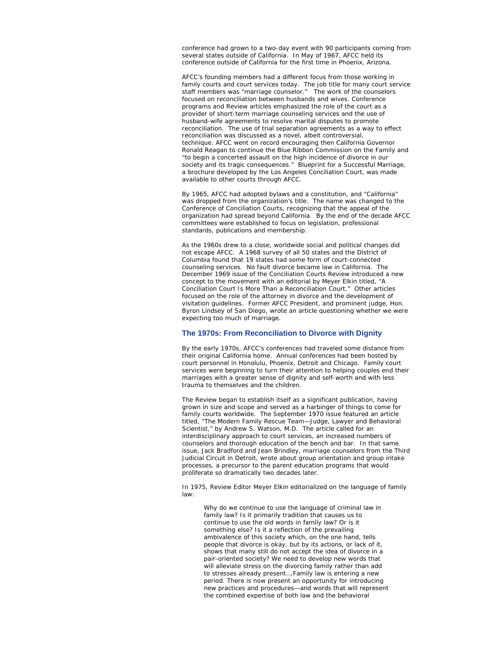conference had grown to a two-day event with 90 participants coming from several states outside of California. In May of 1967, AFCC held its conference outside of California for the first time in Phoenix, Arizona.

AFCC's founding members had a different focus from those working in family courts and court services today. The job title for many court service staff members was "marriage counselor." The work of the counselors focused on reconciliation between husbands and wives. Conference programs and *Review* articles emphasized the role of the court as a provider of short-term marriage counseling services and the use of husband-wife agreements to resolve marital disputes to promote reconciliation. The use of trial separation agreements as a way to effect reconciliation was discussed as a novel, albeit controversial, technique. AFCC went on record encouraging then California Governor Ronald Reagan to continue the Blue Ribbon Commission on the Family and "to begin a concerted assault on the high incidence of divorce in our society and its tragic consequences." *Blueprint for a Successful Marriage,* a brochure developed by the Los Angeles Conciliation Court, was made available to other courts through AFCC.

By 1965, AFCC had adopted bylaws and a constitution, and "California" was dropped from the organization's title. The name was changed to the Conference of Conciliation Courts, recognizing that the appeal of the organization had spread beyond California. By the end of the decade AFCC committees were established to focus on legislation, professional standards, publications and membership.

As the 1960s drew to a close, worldwide social and political changes did not escape AFCC. A 1968 survey of all 50 states and the District of Columbia found that 19 states had some form of court-connected counseling services. No fault divorce became law in California. The December 1969 issue of the *Conciliation Courts Review* introduced a new concept to the movement with an editorial by Meyer Elkin titled, "A Conciliation Court Is More Than a Reconciliation Court." Other articles focused on the role of the attorney in divorce and the development of visitation guidelines. Former AFCC President, and prominent judge, Hon. Byron Lindsey of San Diego, wrote an article questioning whether we were expecting too much of marriage.

#### **The 1970s: From Reconciliation to Divorce with Dignity**

By the early 1970s, AFCC's conferences had traveled some distance from their original California home. Annual conferences had been hosted by court personnel in Honolulu, Phoenix, Detroit and Chicago. Family court services were beginning to turn their attention to helping couples end their marriages with a greater sense of dignity and self-worth and with less trauma to themselves and the children.

The *Review* began to establish itself as a significant publication, having grown in size and scope and served as a harbinger of things to come for family courts worldwide. The September 1970 issue featured an article titled, "The Modern Family Rescue Team—Judge, Lawyer and Behavioral Scientist," by Andrew S. Watson, M.D. The article called for an interdisciplinary approach to court services, an increased numbers of counselors and thorough education of the bench and bar. In that same issue, Jack Bradford and Jean Brindley, marriage counselors from the Third Judicial Circuit in Detroit, wrote about group orientation and group intake processes, a precursor to the parent education programs that would proliferate so dramatically two decades later.

In 1975, Review Editor Meyer Elkin editorialized on the language of family law:

Why do we continue to use the language of criminal law in family law? Is it primarily tradition that causes us to continue to use the old words in family law? Or is it something else? Is it a reflection of the prevailing ambivalence of this society which, on the one hand, tells people that divorce is okay, but by its actions, or lack of it, shows that many still do not accept the idea of divorce in a pair-oriented society? We need to develop new words that will alleviate stress on the divorcing family rather than add to stresses already present….Family law is entering a new period. There is now present an opportunity for introducing new practices and procedures—and words that will represent the combined expertise of both law and the behavioral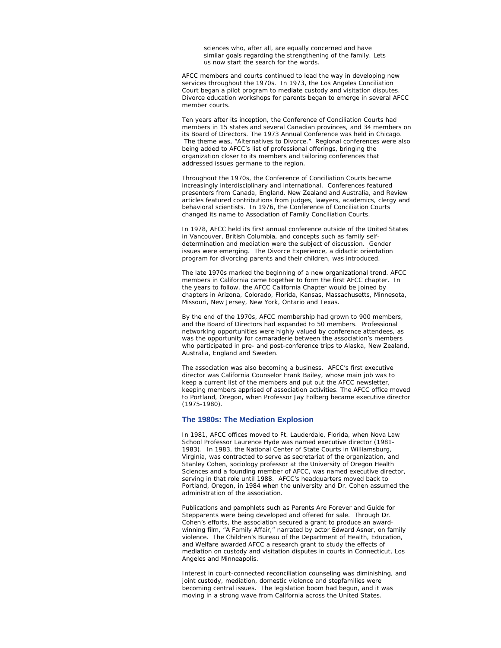sciences who, after all, are equally concerned and have similar goals regarding the strengthening of the family. Lets us now start the search for the words.

AFCC members and courts continued to lead the way in developing new services throughout the 1970s. In 1973, the Los Angeles Conciliation Court began a pilot program to mediate custody and visitation disputes. Divorce education workshops for parents began to emerge in several AFCC member courts.

Ten years after its inception, the Conference of Conciliation Courts had members in 15 states and several Canadian provinces, and 34 members on its Board of Directors. The 1973 Annual Conference was held in Chicago. The theme was, "Alternatives to Divorce." Regional conferences were also being added to AFCC's list of professional offerings, bringing the organization closer to its members and tailoring conferences that addressed issues germane to the region.

Throughout the 1970s, the Conference of Conciliation Courts became increasingly interdisciplinary and international. Conferences featured presenters from Canada, England, New Zealand and Australia, and *Review* articles featured contributions from judges, lawyers, academics, clergy and behavioral scientists. In 1976, the Conference of Conciliation Courts changed its name to Association of Family Conciliation Courts.

In 1978, AFCC held its first annual conference outside of the United States in Vancouver, British Columbia, and concepts such as family selfdetermination and mediation were the subject of discussion. Gender issues were emerging. The Divorce Experience, a didactic orientation program for divorcing parents and their children, was introduced.

The late 1970s marked the beginning of a new organizational trend. AFCC members in California came together to form the first AFCC chapter. In the years to follow, the AFCC California Chapter would be joined by chapters in Arizona, Colorado, Florida, Kansas, Massachusetts, Minnesota, Missouri, New Jersey, New York, Ontario and Texas.

By the end of the 1970s, AFCC membership had grown to 900 members, and the Board of Directors had expanded to 50 members. Professional networking opportunities were highly valued by conference attendees, as was the opportunity for camaraderie between the association's members who participated in pre- and post-conference trips to Alaska, New Zealand, Australia, England and Sweden.

The association was also becoming a business. AFCC's first executive director was California Counselor Frank Bailey, whose main job was to keep a current list of the members and put out the AFCC newsletter, keeping members apprised of association activities. The AFCC office moved to Portland, Oregon, when Professor Jay Folberg became executive director (1975-1980).

#### **The 1980s: The Mediation Explosion**

In 1981, AFCC offices moved to Ft. Lauderdale, Florida, when Nova Law School Professor Laurence Hyde was named executive director (1981- 1983). In 1983, the National Center of State Courts in Williamsburg, Virginia, was contracted to serve as secretariat of the organization, and Stanley Cohen, sociology professor at the University of Oregon Health Sciences and a founding member of AFCC, was named executive director, serving in that role until 1988. AFCC's headquarters moved back to Portland, Oregon, in 1984 when the university and Dr. Cohen assumed the administration of the association.

Publications and pamphlets such as *Parents Are Forever* and *Guide for Stepparents* were being developed and offered for sale. Through Dr. Cohen's efforts, the association secured a grant to produce an awardwinning film, "A Family Affair," narrated by actor Edward Asner, on family violence. The Children's Bureau of the Department of Health, Education, and Welfare awarded AFCC a research grant to study the effects of mediation on custody and visitation disputes in courts in Connecticut, Los Angeles and Minneapolis.

Interest in court-connected reconciliation counseling was diminishing, and joint custody, mediation, domestic violence and stepfamilies were becoming central issues. The legislation boom had begun, and it was moving in a strong wave from California across the United States.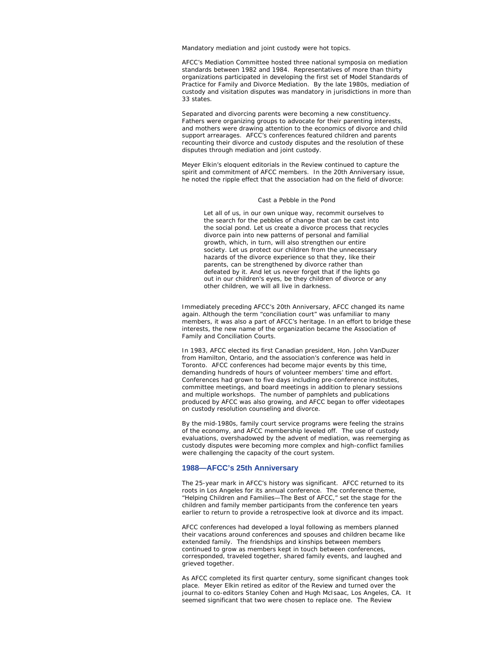Mandatory mediation and joint custody were hot topics.

AFCC's Mediation Committee hosted three national symposia on mediation standards between 1982 and 1984. Representatives of more than thirty organizations participated in developing the first set of Model Standards of Practice for Family and Divorce Mediation. By the late 1980s, mediation of custody and visitation disputes was mandatory in jurisdictions in more than 33 states.

Separated and divorcing parents were becoming a new constituency. Fathers were organizing groups to advocate for their parenting interests, and mothers were drawing attention to the economics of divorce and child support arrearages. AFCC's conferences featured children and parents recounting their divorce and custody disputes and the resolution of these disputes through mediation and joint custody.

Meyer Elkin's eloquent editorials in the *Review* continued to capture the spirit and commitment of AFCC members. In the 20th Anniversary issue, he noted the ripple effect that the association had on the field of divorce:

#### *Cast a Pebble in the Pond*

Let all of us, in our own unique way, recommit ourselves to the search for the pebbles of change that can be cast into the social pond. Let us create a divorce process that recycles divorce pain into new patterns of personal and familial growth, which, in turn, will also strengthen our entire society. Let us protect our children from the unnecessary hazards of the divorce experience so that they, like their parents, can be strengthened by divorce rather than defeated by it. And let us never forget that if the lights go out in our children's eyes, be they children of divorce or any other children, we will all live in darkness.

Immediately preceding AFCC's 20th Anniversary, AFCC changed its name again. Although the term "conciliation court" was unfamiliar to many members, it was also a part of AFCC's heritage. In an effort to bridge these interests, the new name of the organization became the Association of Family and Conciliation Courts.

In 1983, AFCC elected its first Canadian president, Hon. John VanDuzer from Hamilton, Ontario, and the association's conference was held in Toronto. AFCC conferences had become major events by this time, demanding hundreds of hours of volunteer members' time and effort. Conferences had grown to five days including pre-conference institutes, committee meetings, and board meetings in addition to plenary sessions and multiple workshops. The number of pamphlets and publications produced by AFCC was also growing, and AFCC began to offer videotapes on custody resolution counseling and divorce.

By the mid-1980s, family court service programs were feeling the strains of the economy, and AFCC membership leveled off. The use of custody evaluations, overshadowed by the advent of mediation, was reemerging as custody disputes were becoming more complex and high-conflict families were challenging the capacity of the court system.

#### **1988—AFCC's 25th Anniversary**

The 25-year mark in AFCC's history was significant. AFCC returned to its roots in Los Angeles for its annual conference. The conference theme, "Helping Children and Families—The Best of AFCC," set the stage for the children and family member participants from the conference ten years earlier to return to provide a retrospective look at divorce and its impact.

AFCC conferences had developed a loyal following as members planned their vacations around conferences and spouses and children became like extended family. The friendships and kinships between members continued to grow as members kept in touch between conferences, corresponded, traveled together, shared family events, and laughed and grieved together.

As AFCC completed its first quarter century, some significant changes took place. Meyer Elkin retired as editor of the *Review* and turned over the journal to co-editors Stanley Cohen and Hugh McIsaac, Los Angeles, CA. It seemed significant that two were chosen to replace one. The *Review*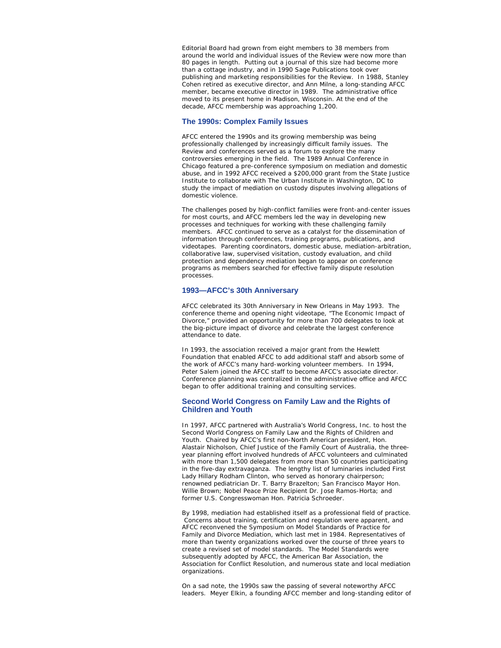Editorial Board had grown from eight members to 38 members from around the world and individual issues of the *Review* were now more than 80 pages in length. Putting out a journal of this size had become more than a cottage industry, and in 1990 Sage Publications took over publishing and marketing responsibilities for the *Review*. In 1988, Stanley Cohen retired as executive director, and Ann Milne, a long-standing AFCC member, became executive director in 1989. The administrative office moved to its present home in Madison, Wisconsin. At the end of the decade, AFCC membership was approaching 1,200.

#### **The 1990s: Complex Family Issues**

AFCC entered the 1990s and its growing membership was being professionally challenged by increasingly difficult family issues. The *Review* and conferences served as a forum to explore the many controversies emerging in the field. The 1989 Annual Conference in Chicago featured a pre-conference symposium on mediation and domestic abuse, and in 1992 AFCC received a \$200,000 grant from the State Justice Institute to collaborate with The Urban Institute in Washington, DC to study the impact of mediation on custody disputes involving allegations of domestic violence.

The challenges posed by high-conflict families were front-and-center issues for most courts, and AFCC members led the way in developing new processes and techniques for working with these challenging family members. AFCC continued to serve as a catalyst for the dissemination of information through conferences, training programs, publications, and videotapes. Parenting coordinators, domestic abuse, mediation-arbitration, collaborative law, supervised visitation, custody evaluation, and child protection and dependency mediation began to appear on conference programs as members searched for effective family dispute resolution processes.

#### **1993—AFCC's 30th Anniversary**

AFCC celebrated its 30th Anniversary in New Orleans in May 1993. The conference theme and opening night videotape, "The Economic Impact of Divorce," provided an opportunity for more than 700 delegates to look at the big-picture impact of divorce and celebrate the largest conference attendance to date.

In 1993, the association received a major grant from the Hewlett Foundation that enabled AFCC to add additional staff and absorb some of the work of AFCC's many hard-working volunteer members. In 1994, Peter Salem joined the AFCC staff to become AFCC's associate director. Conference planning was centralized in the administrative office and AFCC began to offer additional training and consulting services.

#### **Second World Congress on Family Law and the Rights of Children and Youth**

In 1997, AFCC partnered with Australia's World Congress, Inc. to host the Second World Congress on Family Law and the Rights of Children and Youth. Chaired by AFCC's first non-North American president, Hon. Alastair Nicholson, Chief Justice of the Family Court of Australia, the threeyear planning effort involved hundreds of AFCC volunteers and culminated with more than 1,500 delegates from more than 50 countries participating in the five-day extravaganza. The lengthy list of luminaries included First Lady Hillary Rodham Clinton, who served as honorary chairperson; renowned pediatrician Dr. T. Barry Brazelton; San Francisco Mayor Hon. Willie Brown; Nobel Peace Prize Recipient Dr. Jose Ramos-Horta; and former U.S. Congresswoman Hon. Patricia Schroeder.

By 1998, mediation had established itself as a professional field of practice. Concerns about training, certification and regulation were apparent, and AFCC reconvened the Symposium on Model Standards of Practice for Family and Divorce Mediation, which last met in 1984. Representatives of more than twenty organizations worked over the course of three years to create a revised set of model standards. The Model Standards were subsequently adopted by AFCC, the American Bar Association, the Association for Conflict Resolution, and numerous state and local mediation organizations.

On a sad note, the 1990s saw the passing of several noteworthy AFCC leaders. Meyer Elkin, a founding AFCC member and long-standing editor of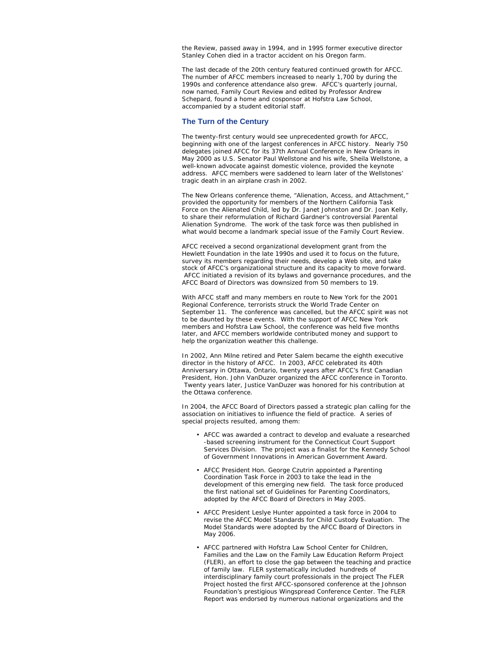the *Review*, passed away in 1994, and in 1995 former executive director Stanley Cohen died in a tractor accident on his Oregon farm.

The last decade of the 20th century featured continued growth for AFCC. The number of AFCC members increased to nearly 1,700 by during the 1990s and conference attendance also grew. AFCC's quarterly journal, now named, *Family Court Review* and edited by Professor Andrew Schepard, found a home and cosponsor at Hofstra Law School, accompanied by a student editorial staff.

#### **The Turn of the Century**

The twenty-first century would see unprecedented growth for AFCC, beginning with one of the largest conferences in AFCC history. Nearly 750 delegates joined AFCC for its 37th Annual Conference in New Orleans in May 2000 as U.S. Senator Paul Wellstone and his wife, Sheila Wellstone, a well-known advocate against domestic violence, provided the keynote address. AFCC members were saddened to learn later of the Wellstones' tragic death in an airplane crash in 2002.

The New Orleans conference theme, "Alienation, Access, and Attachment," provided the opportunity for members of the Northern California Task Force on the Alienated Child, led by Dr. Janet Johnston and Dr. Joan Kelly, to share their reformulation of Richard Gardner's controversial Parental Alienation Syndrome. The work of the task force was then published in what would become a landmark special issue of the *Family Court Review*.

AFCC received a second organizational development grant from the Hewlett Foundation in the late 1990s and used it to focus on the future, survey its members regarding their needs, develop a Web site, and take stock of AFCC's organizational structure and its capacity to move forward. AFCC initiated a revision of its bylaws and governance procedures, and the AFCC Board of Directors was downsized from 50 members to 19.

With AFCC staff and many members en route to New York for the 2001 Regional Conference, terrorists struck the World Trade Center on September 11. The conference was cancelled, but the AFCC spirit was not to be daunted by these events. With the support of AFCC New York members and Hofstra Law School, the conference was held five months later, and AFCC members worldwide contributed money and support to help the organization weather this challenge.

In 2002, Ann Milne retired and Peter Salem became the eighth executive director in the history of AFCC. In 2003, AFCC celebrated its 40th Anniversary in Ottawa, Ontario, twenty years after AFCC's first Canadian President, Hon. John VanDuzer organized the AFCC conference in Toronto. Twenty years later, Justice VanDuzer was honored for his contribution at the Ottawa conference.

In 2004, the AFCC Board of Directors passed a strategic plan calling for the association on initiatives to influence the field of practice. A series of special projects resulted, among them:

- AFCC was awarded a contract to develop and evaluate a researched -based screening instrument for the Connecticut Court Support Services Division. The project was a finalist for the Kennedy School of Government Innovations in American Government Award.
- AFCC President Hon. George Czutrin appointed a Parenting Coordination Task Force in 2003 to take the lead in the development of this emerging new field. The task force produced the first national set of Guidelines for Parenting Coordinators, adopted by the AFCC Board of Directors in May 2005.
- AFCC President Leslye Hunter appointed a task force in 2004 to revise the AFCC Model Standards for Child Custody Evaluation. The Model Standards were adopted by the AFCC Board of Directors in May 2006.
- AFCC partnered with Hofstra Law School Center for Children, Families and the Law on the Family Law Education Reform Project (FLER), an effort to close the gap between the teaching and practice of family law. FLER systematically included hundreds of interdisciplinary family court professionals in the project The FLER Project hosted the first AFCC-sponsored conference at the Johnson Foundation's prestigious Wingspread Conference Center. The FLER Report was endorsed by numerous national organizations and the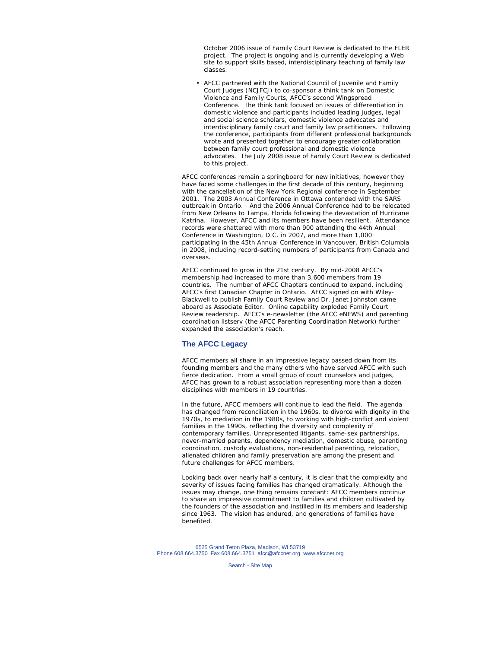October 2006 issue of *Family Court Review* is dedicated to the FLER project. The project is ongoing and is currently developing a Web site to support skills based, interdisciplinary teaching of family law classes.

• AFCC partnered with the National Council of Juvenile and Family Court Judges (NCJFCJ) to co-sponsor a think tank on Domestic Violence and Family Courts, AFCC's second Wingspread Conference. The think tank focused on issues of differentiation in domestic violence and participants included leading judges, legal and social science scholars, domestic violence advocates and interdisciplinary family court and family law practitioners. Following the conference, participants from different professional backgrounds wrote and presented together to encourage greater collaboration between family court professional and domestic violence advocates. The July 2008 issue of *Family Court Review* is dedicated to this project.

AFCC conferences remain a springboard for new initiatives, however they have faced some challenges in the first decade of this century, beginning with the cancellation of the New York Regional conference in September 2001. The 2003 Annual Conference in Ottawa contended with the SARS outbreak in Ontario. And the 2006 Annual Conference had to be relocated from New Orleans to Tampa, Florida following the devastation of Hurricane Katrina. However, AFCC and its members have been resilient. Attendance records were shattered with more than 900 attending the 44th Annual Conference in Washington, D.C. in 2007, and more than 1,000 participating in the 45th Annual Conference in Vancouver, British Columbia in 2008, including record-setting numbers of participants from Canada and overseas.

AFCC continued to grow in the 21st century. By mid-2008 AFCC's membership had increased to more than 3,600 members from 19 countries. The number of AFCC Chapters continued to expand, including AFCC's first Canadian Chapter in Ontario. AFCC signed on with Wiley-Blackwell to publish *Family Court Review* and Dr. Janet Johnston came aboard as Associate Editor. Online capability exploded *Family Court Review* readership. AFCC's e-newsletter (the *AFCC eNEWS*) and parenting coordination listserv (the AFCC Parenting Coordination Network) further expanded the association's reach.

#### **The AFCC Legacy**

AFCC members all share in an impressive legacy passed down from its founding members and the many others who have served AFCC with such fierce dedication. From a small group of court counselors and judges, AFCC has grown to a robust association representing more than a dozen disciplines with members in 19 countries.

In the future, AFCC members will continue to lead the field. The agenda has changed from reconciliation in the 1960s, to divorce with dignity in the 1970s, to mediation in the 1980s, to working with high-conflict and violent families in the 1990s, reflecting the diversity and complexity of contemporary families. Unrepresented litigants, same-sex partnerships, never-married parents, dependency mediation, domestic abuse, parenting coordination, custody evaluations, non-residential parenting, relocation, alienated children and family preservation are among the present and future challenges for AFCC members.

Looking back over nearly half a century, it is clear that the complexity and severity of issues facing families has changed dramatically. Although the issues may change, one thing remains constant: AFCC members continue to share an impressive commitment to families and children cultivated by the founders of the association and instilled in its members and leadership since 1963. The vision has endured, and generations of families have benefited.

6525 Grand Teton Plaza, Madison, WI 53719 Phone 608.664.3750 Fax 608.664.3751 afcc@afccnet.org www.afccnet.org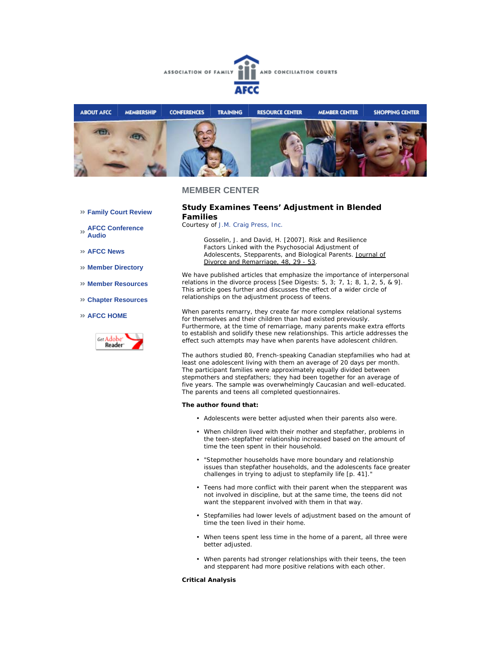



#### **MEMBER CENTER**

#### **Study Examines Teens' Adjustment in Blended Families**

*Courtesy of J.M. Craig Press, Inc.*

*Gosselin, J. and David, H. [2007]. Risk and Resilience Factors Linked with the Psychosocial Adjustment of Adolescents, Stepparents, and Biological Parents. Journal of Divorce and Remarriage, 48, 29 - 53.*

We have published articles that emphasize the importance of interpersonal relations in the divorce process [See Digests: 5, 3; 7, 1; 8, 1, 2, 5, & 9]. This article goes further and discusses the effect of a wider circle of relationships on the adjustment process of teens.

When parents remarry, they create far more complex relational systems for themselves and their children than had existed previously. Furthermore, at the time of remarriage, many parents make extra efforts to establish and solidify these new relationships. This article addresses the effect such attempts may have when parents have adolescent children.

The authors studied 80, French-speaking Canadian stepfamilies who had at least one adolescent living with them an average of 20 days per month. The participant families were approximately equally divided between stepmothers and stepfathers; they had been together for an average of five years. The sample was overwhelmingly Caucasian and well-educated. The parents and teens all completed questionnaires.

#### **The author found that:**

- Adolescents were better adjusted when their parents also were.
- When children lived with their mother and stepfather, problems in the teen-stepfather relationship increased based on the amount of time the teen spent in their household.
- "Stepmother households have more boundary and relationship issues than stepfather households, and the adolescents face greater challenges in trying to adjust to stepfamily life [p. 41].
- Teens had more conflict with their parent when the stepparent was not involved in discipline, but at the same time, the teens did not want the stepparent involved with them in that way.
- Stepfamilies had lower levels of adjustment based on the amount of time the teen lived in their home. •
- When teens spent less time in the home of a parent, all three were better adjusted.
- When parents had stronger relationships with their teens, the teen and stepparent had more positive relations with each other.

#### **Critical Analysis**

#### **Family Court Review**

- **AFCC Conference Audio**
- **AFCC News**
- **Member Directory**
- **Member Resources**
- **Chapter Resources**

#### **AFCC HOME**

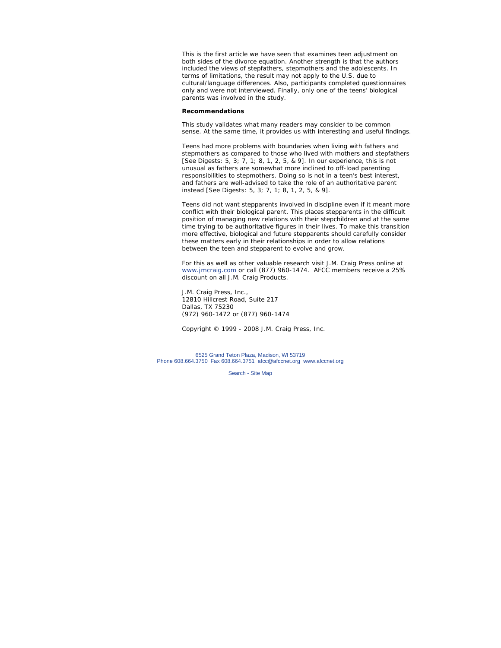This is the first article we have seen that examines teen adjustment on both sides of the divorce equation. Another strength is that the authors included the views of stepfathers, stepmothers and the adolescents. In terms of limitations, the result may not apply to the U.S. due to cultural/language differences. Also, participants completed questionnaires only and were not interviewed. Finally, only one of the teens' biological parents was involved in the study.

#### **Recommendations**

This study validates what many readers may consider to be common sense. At the same time, it provides us with interesting and useful findings.

Teens had more problems with boundaries when living with fathers and stepmothers as compared to those who lived with mothers and stepfathers [See Digests: 5, 3; 7, 1; 8, 1, 2, 5, & 9]. In our experience, this is not unusual as fathers are somewhat more inclined to off-load parenting responsibilities to stepmothers. Doing so is not in a teen's best interest, and fathers are well-advised to take the role of an authoritative parent instead [See Digests: 5, 3; 7, 1; 8, 1, 2, 5, & 9].

Teens did not want stepparents involved in discipline even if it meant more conflict with their biological parent. This places stepparents in the difficult position of managing new relations with their stepchildren and at the same time trying to be authoritative figures in their lives. To make this transition more effective, biological and future stepparents should carefully consider these matters early in their relationships in order to allow relations between the teen and stepparent to evolve and grow.

*For this as well as other valuable research visit J.M. Craig Press online at www.jmcraig.com or call (877) 960-1474. AFCC members receive a 25% discount on all J.M. Craig Products.*

J.M. Craig Press, Inc., 12810 Hillcrest Road, Suite 217 Dallas, TX 75230 (972) 960-1472 or (877) 960-1474

*Copyright © 1999 - 2008 J.M. Craig Press, Inc.*

6525 Grand Teton Plaza, Madison, WI 53719 Phone 608.664.3750 Fax 608.664.3751 afcc@afccnet.org www.afccnet.org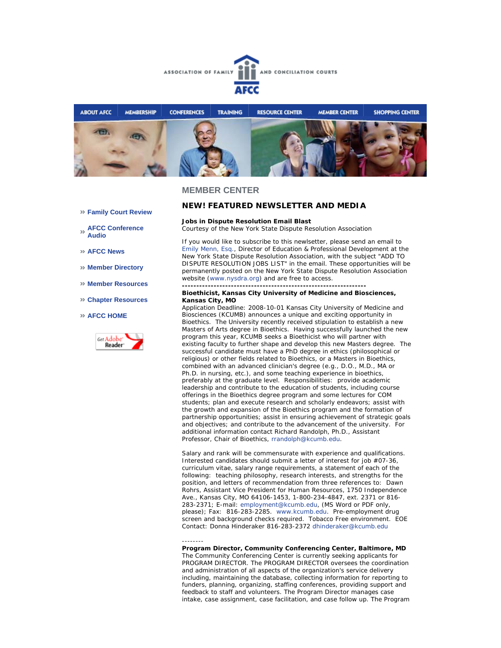



#### **MEMBER CENTER**

--------

**Family Court Review** 

**AFCC Conference Audio** 

**AFCC News** 

- **Member Directory**
- **Member Resources**
- **Chapter Resources**

#### **AFCC HOME**



### *NEW!* **FEATURED NEWSLETTER AND MEDIA**

#### **Jobs in Dispute Resolution Email Blast**

*Courtesy of the New York State Dispute Resolution Association*

**----------------------------------------------------------------**

If you would like to subscribe to this newlsetter, please send an email to Emily Menn, Esq., Director of Education & Professional Development at the New York State Dispute Resolution Association, with the subject "ADD TO DISPUTE RESOLUTION JOBS LIST" in the email. These opportunities will be permanently posted on the New York State Dispute Resolution Association website (www.nysdra.org) and are free to access.

#### **Bioethicist, Kansas City University of Medicine and Biosciences, Kansas City, MO**

Application Deadline: 2008-10-01 Kansas City University of Medicine and Biosciences (KCUMB) announces a unique and exciting opportunity in Bioethics. The University recently received stipulation to establish a new Masters of Arts degree in Bioethics. Having successfully launched the new program this year, KCUMB seeks a Bioethicist who will partner with existing faculty to further shape and develop this new Masters degree. The successful candidate must have a PhD degree in ethics (philosophical or religious) or other fields related to Bioethics, or a Masters in Bioethics, combined with an advanced clinician's degree (e.g., D.O., M.D., MA or Ph.D. in nursing, etc.), and some teaching experience in bioethics, preferably at the graduate level. Responsibilities: provide academic leadership and contribute to the education of students, including course offerings in the Bioethics degree program and some lectures for COM students; plan and execute research and scholarly endeavors; assist with the growth and expansion of the Bioethics program and the formation of partnership opportunities; assist in ensuring achievement of strategic goals and objectives; and contribute to the advancement of the university. For additional information contact Richard Randolph, Ph.D., Assistant Professor, Chair of Bioethics, rrandolph@kcumb.edu.

Salary and rank will be commensurate with experience and qualifications. Interested candidates should submit a letter of interest for job #07-36, curriculum vitae, salary range requirements, a statement of each of the following: teaching philosophy, research interests, and strengths for the position, and letters of recommendation from three references to: Dawn Rohrs, Assistant Vice President for Human Resources, 1750 Independence Ave., Kansas City, MO 64106-1453, 1-800-234-4847, ext. 2371 or 816- 283-2371; E-mail: employment@kcumb.edu, (MS Word or PDF only, please); Fax: 816-283-2285. www.kcumb.edu. Pre-employment drug screen and background checks required. Tobacco Free environment. EOE Contact: Donna Hinderaker 816-283-2372 dhinderaker@kcumb.edu

**Program Director, Community Conferencing Center, Baltimore, MD** The Community Conferencing Center is currently seeking applicants for PROGRAM DIRECTOR. The PROGRAM DIRECTOR oversees the coordination and administration of all aspects of the organization's service delivery including, maintaining the database, collecting information for reporting to funders, planning, organizing, staffing conferences, providing support and feedback to staff and volunteers. The Program Director manages case intake, case assignment, case facilitation, and case follow up. The Program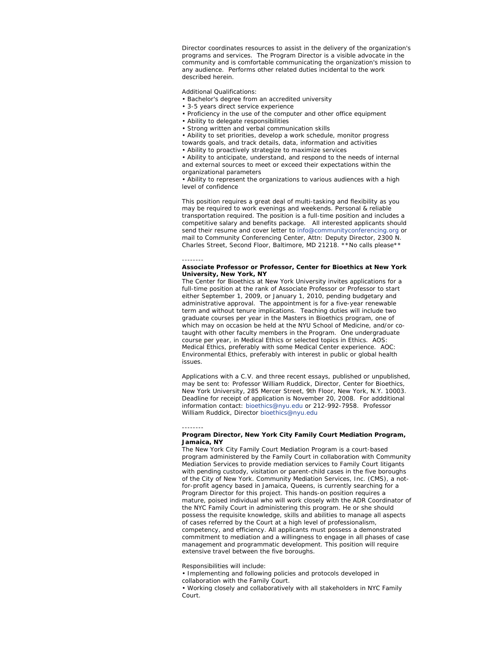Director coordinates resources to assist in the delivery of the organization's programs and services. The Program Director is a visible advocate in the community and is comfortable communicating the organization's mission to any audience. Performs other related duties incidental to the work described herein.

Additional Qualifications:

- Bachelor's degree from an accredited university
- 3-5 years direct service experience
- Proficiency in the use of the computer and other office equipment
- Ability to delegate responsibilities
- Strong written and verbal communication skills

• Ability to set priorities, develop a work schedule, monitor progress towards goals, and track details, data, information and activities

• Ability to proactively strategize to maximize services

• Ability to anticipate, understand, and respond to the needs of internal and external sources to meet or exceed their expectations within the organizational parameters

• Ability to represent the organizations to various audiences with a high level of confidence

This position requires a great deal of multi-tasking and flexibility as you may be required to work evenings and weekends. Personal & reliable transportation required. The position is a full-time position and includes a competitive salary and benefits package. All interested applicants should send their resume and cover letter to info@communityconferencing.org or mail to Community Conferencing Center, Attn: Deputy Director, 2300 N. Charles Street, Second Floor, Baltimore, MD 21218. \*\*No calls please\*\*

#### --------

#### **Associate Professor or Professor, Center for Bioethics at New York University, New York, NY**

The Center for Bioethics at New York University invites applications for a full-time position at the rank of Associate Professor or Professor to start either September 1, 2009, or January 1, 2010, pending budgetary and administrative approval. The appointment is for a five-year renewable term and without tenure implications. Teaching duties will include two graduate courses per year in the Masters in Bioethics program, one of which may on occasion be held at the NYU School of Medicine, and/or cotaught with other faculty members in the Program. One undergraduate course per year, in Medical Ethics or selected topics in Ethics. AOS: Medical Ethics, preferably with some Medical Center experience. AOC: Environmental Ethics, preferably with interest in public or global health issues.

Applications with a C.V. and three recent essays, published or unpublished, may be sent to: Professor William Ruddick, Director, Center for Bioethics, New York University, 285 Mercer Street, 9th Floor, New York, N.Y. 10003. Deadline for receipt of application is November 20, 2008. For addditional information contact: bioethics@nyu.edu or 212-992-7958. Professor William Ruddick, Director bioethics@nyu.edu

#### --------

#### **Program Director, New York City Family Court Mediation Program, Jamaica, NY**

The New York City Family Court Mediation Program is a court-based program administered by the Family Court in collaboration with Community Mediation Services to provide mediation services to Family Court litigants with pending custody, visitation or parent-child cases in the five boroughs of the City of New York. Community Mediation Services, Inc. (CMS), a notfor-profit agency based in Jamaica, Queens, is currently searching for a Program Director for this project. This hands-on position requires a mature, poised individual who will work closely with the ADR Coordinator of the NYC Family Court in administering this program. He or she should possess the requisite knowledge, skills and abilities to manage all aspects of cases referred by the Court at a high level of professionalism, competency, and efficiency. All applicants must possess a demonstrated commitment to mediation and a willingness to engage in all phases of case management and programmatic development. This position will require extensive travel between the five boroughs.

Responsibilities will include:

• Implementing and following policies and protocols developed in collaboration with the Family Court.

• Working closely and collaboratively with all stakeholders in NYC Family Court.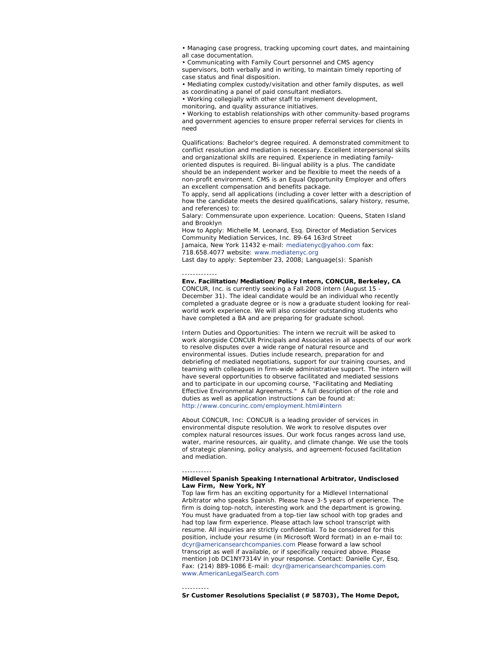• Managing case progress, tracking upcoming court dates, and maintaining all case documentation.

• Communicating with Family Court personnel and CMS agency supervisors, both verbally and in writing, to maintain timely reporting of case status and final disposition.

• Mediating complex custody/visitation and other family disputes, as well as coordinating a panel of paid consultant mediators.

• Working collegially with other staff to implement development,

monitoring, and quality assurance initiatives.

• Working to establish relationships with other community-based programs and government agencies to ensure proper referral services for clients in need

Qualifications: Bachelor's degree required. A demonstrated commitment to conflict resolution and mediation is necessary. Excellent interpersonal skills and organizational skills are required. Experience in mediating familyoriented disputes is required. Bi-lingual ability is a plus. The candidate should be an independent worker and be flexible to meet the needs of a non-profit environment. CMS is an Equal Opportunity Employer and offers an excellent compensation and benefits package.

To apply, send all applications (including a cover letter with a description of how the candidate meets the desired qualifications, salary history, resume, and references) to:

Salary: Commensurate upon experience. Location: Queens, Staten Island and Brooklyn

How to Apply: Michelle M. Leonard, Esq. Director of Mediation Services Community Mediation Services, Inc. 89-64 163rd Street Jamaica, New York 11432 e-mail: mediatenyc@yahoo.com fax: 718.658.4077 website: www.mediatenyc.org Last day to apply: September 23, 2008; Language(s): Spanish

#### ------------- **Env. Facilitation/Mediation/Policy Intern, CONCUR, Berkeley, CA**

CONCUR, Inc. is currently seeking a Fall 2008 intern (August 15 - December 31). The ideal candidate would be an individual who recently completed a graduate degree or is now a graduate student looking for realworld work experience. We will also consider outstanding students who have completed a BA and are preparing for graduate school.

Intern Duties and Opportunities: The intern we recruit will be asked to work alongside CONCUR Principals and Associates in all aspects of our work to resolve disputes over a wide range of natural resource and environmental issues. Duties include research, preparation for and debriefing of mediated negotiations, support for our training courses, and teaming with colleagues in firm-wide administrative support. The intern will have several opportunities to observe facilitated and mediated sessions and to participate in our upcoming course, "Facilitating and Mediating Effective Environmental Agreements." A full description of the role and duties as well as application instructions can be found at: http://www.concurinc.com/employment.html#intern

About CONCUR, Inc: CONCUR is a leading provider of services in environmental dispute resolution. We work to resolve disputes over complex natural resources issues. Our work focus ranges across land use, water, marine resources, air quality, and climate change. We use the tools of strategic planning, policy analysis, and agreement-focused facilitation and mediation.

#### ----------- **Midlevel Spanish Speaking International Arbitrator, Undisclosed Law Firm, New York, NY**

Top law firm has an exciting opportunity for a Midlevel International Arbitrator who speaks Spanish. Please have 3-5 years of experience. The firm is doing top-notch, interesting work and the department is growing. You must have graduated from a top-tier law school with top grades and had top law firm experience. Please attach law school transcript with resume. All inquiries are strictly confidential. To be considered for this position, include your resume (in Microsoft Word format) in an e-mail to: dcyr@americansearchcompanies.com Please forward a law school transcript as well if available, or if specifically required above. Please mention Job DC1NY7314V in your response. Contact: Danielle Cyr, Esq. Fax: (214) 889-1086 E-mail: dcyr@americansearchcompanies.com www.AmericanLegalSearch.com

---------- **Sr Customer Resolutions Specialist (# 58703), The Home Depot,**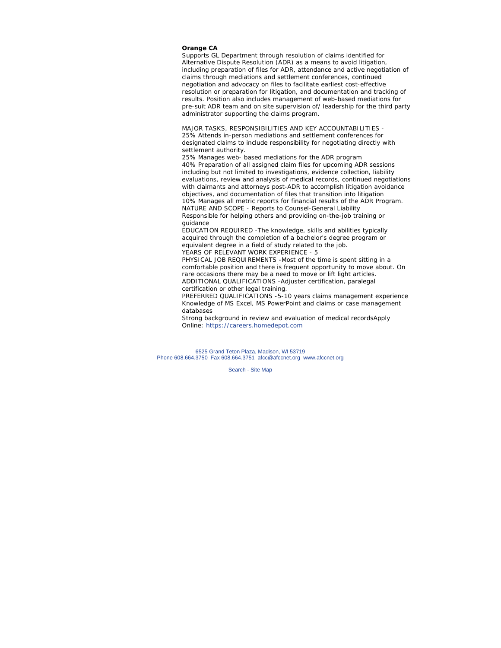#### **Orange CA**

Supports GL Department through resolution of claims identified for Alternative Dispute Resolution (ADR) as a means to avoid litigation, including preparation of files for ADR, attendance and active negotiation of claims through mediations and settlement conferences, continued negotiation and advocacy on files to facilitate earliest cost-effective resolution or preparation for litigation, and documentation and tracking of results. Position also includes management of web-based mediations for pre-suit ADR team and on site supervision of/ leadership for the third party administrator supporting the claims program.

MAJOR TASKS, RESPONSIBILITIES AND KEY ACCOUNTABILITIES - 25% Attends in-person mediations and settlement conferences for designated claims to include responsibility for negotiating directly with settlement authority.

25% Manages web- based mediations for the ADR program 40% Preparation of all assigned claim files for upcoming ADR sessions including but not limited to investigations, evidence collection, liability evaluations, review and analysis of medical records, continued negotiations with claimants and attorneys post-ADR to accomplish litigation avoidance objectives, and documentation of files that transition into litigation 10% Manages all metric reports for financial results of the ADR Program. NATURE AND SCOPE - Reports to Counsel-General Liability Responsible for helping others and providing on-the-job training or guidance

EDUCATION REQUIRED -The knowledge, skills and abilities typically acquired through the completion of a bachelor's degree program or equivalent degree in a field of study related to the job. YEARS OF RELEVANT WORK EXPERIENCE - 5

PHYSICAL JOB REQUIREMENTS -Most of the time is spent sitting in a comfortable position and there is frequent opportunity to move about. On rare occasions there may be a need to move or lift light articles. ADDITIONAL QUALIFICATIONS -Adjuster certification, paralegal certification or other legal training.

PREFERRED QUALIFICATIONS -5-10 years claims management experience Knowledge of MS Excel, MS PowerPoint and claims or case management databases

Strong background in review and evaluation of medical recordsApply Online: https://careers.homedepot.com

6525 Grand Teton Plaza, Madison, WI 53719 Phone 608.664.3750 Fax 608.664.3751 afcc@afccnet.org www.afccnet.org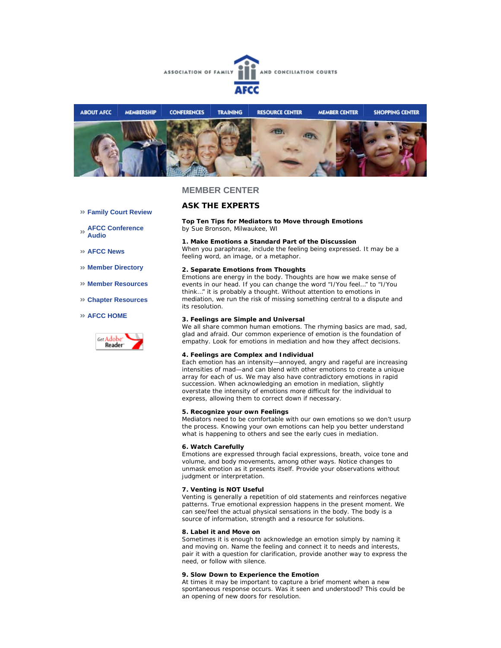



### **MEMBER CENTER**

#### **Family Court Review**

**AFCC Conference Audio** 

**AFCC News** 

**Member Directory** 

- **Member Resources**
- **Chapter Resources**

#### **AFCC HOME**



#### **ASK THE EXPERTS**

**Top Ten Tips for Mediators to Move through Emotions** *by Sue Bronson, Milwaukee, WI*

#### **1. Make Emotions a Standard Part of the Discussion**

When you paraphrase, include the feeling being expressed. It may be a feeling word, an image, or a metaphor.

#### **2. Separate Emotions from Thoughts**

Emotions are energy in the body. Thoughts are how we make sense of events in our head. If you can change the word "I/You feel…" to "I/You think…" it is probably a thought. Without attention to emotions in mediation, we run the risk of missing something central to a dispute and its resolution.

#### **3. Feelings are Simple and Universal**

We all share common human emotions. The rhyming basics are mad, sad, glad and afraid. Our common experience of emotion is the foundation of empathy. Look for emotions in mediation and how they affect decisions.

#### **4. Feelings are Complex and Individual**

Each emotion has an intensity—annoyed, angry and rageful are increasing intensities of mad—and can blend with other emotions to create a unique array for each of us. We may also have contradictory emotions in rapid succession. When acknowledging an emotion in mediation, slightly overstate the intensity of emotions more difficult for the individual to express, allowing them to correct down if necessary.

#### **5. Recognize your own Feelings**

Mediators need to be comfortable with our own emotions so we don't usurp the process. Knowing your own emotions can help you better understand what is happening to others and see the early cues in mediation.

#### **6. Watch Carefully**

Emotions are expressed through facial expressions, breath, voice tone and volume, and body movements, among other ways. Notice changes to unmask emotion as it presents itself. Provide your observations without judgment or interpretation.

#### **7. Venting is NOT Useful**

Venting is generally a repetition of old statements and reinforces negative patterns. True emotional expression happens in the present moment. We can see/feel the actual physical sensations in the body. The body is a source of information, strength and a resource for solutions.

#### **8. Label it and Move on**

Sometimes it is enough to acknowledge an emotion simply by naming it and moving on. Name the feeling and connect it to needs and interests, pair it with a question for clarification, provide another way to express the need, or follow with silence.

#### **9. Slow Down to Experience the Emotion**

At times it may be important to capture a brief moment when a new spontaneous response occurs. Was it seen and understood? This could be an opening of new doors for resolution.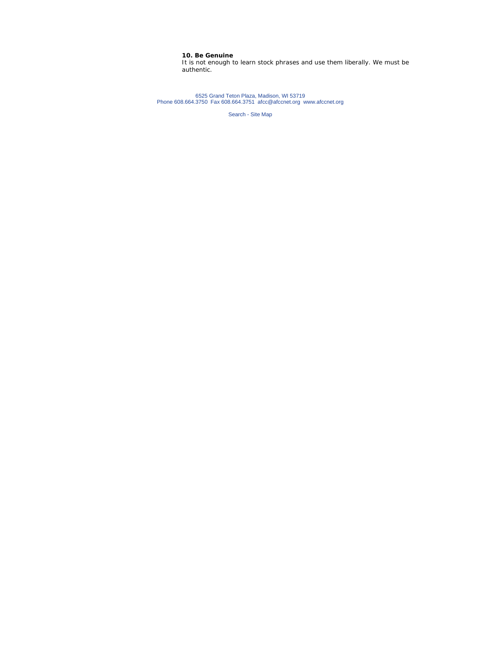### **10. Be Genuine**

It is not enough to learn stock phrases and use them liberally. We must be authentic.

6525 Grand Teton Plaza, Madison, WI 53719 Phone 608.664.3750 Fax 608.664.3751 afcc@afccnet.org www.afccnet.org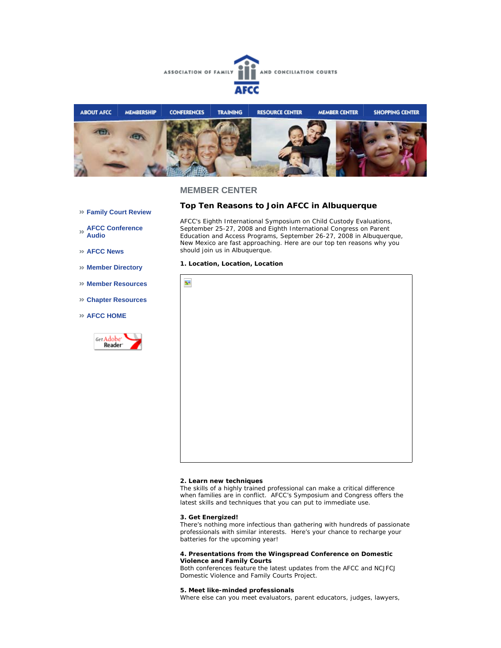



### **MEMBER CENTER**

- **Family Court Review**
- **AFCC Conference Audio**
- **AFCC News**
- **Member Directory**
- **Member Resources**
- **Chapter Resources**
- **AFCC HOME**



### **Top Ten Reasons to Join AFCC in Albuquerque**

AFCC's *Eighth International Symposium on Child Custody Evaluations*, September 25-27, 2008 and *Eighth International Congress on Parent Education and Access Programs*, September 26-27, 2008 in Albuquerque, New Mexico are fast approaching. Here are our top ten reasons why you should join us in Albuquerque.

#### **1. Location, Location, Location**



#### **2. Learn new techniques**

The skills of a highly trained professional can make a critical difference when families are in conflict. AFCC's *Symposium* and *Congress* offers the latest skills and techniques that you can put to immediate use.

#### **3. Get Energized!**

There's nothing more infectious than gathering with hundreds of passionate professionals with similar interests. Here's your chance to recharge your batteries for the upcoming year!

#### **4. Presentations from the Wingspread Conference on Domestic Violence and Family Courts**

Both conferences feature the latest updates from the AFCC and NCJFCJ Domestic Violence and Family Courts Project.

#### **5. Meet like-minded professionals**

Where else can you meet evaluators, parent educators, judges, lawyers,